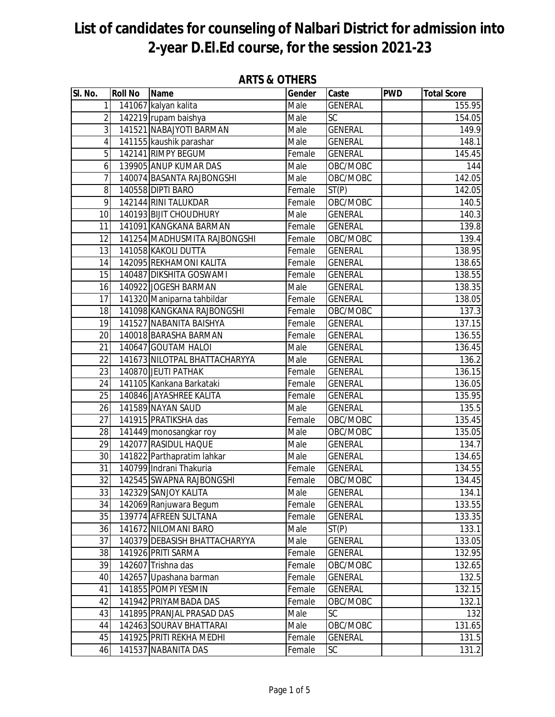| SI. No.         | <b>Roll No</b> | <b>Name</b>                   | Gender                     | Caste          | <b>PWD</b> | <b>Total Score</b>  |
|-----------------|----------------|-------------------------------|----------------------------|----------------|------------|---------------------|
| 1               |                | 141067 kalyan kalita          | Male                       | <b>GENERAL</b> |            | 155.95              |
| 2               |                | 142219 rupam baishya          | $\overline{\mathsf{Male}}$ | <b>SC</b>      |            | 154.05              |
| $\mathfrak{Z}$  |                | 141521 NABAJYOTI BARMAN       | Male                       | <b>GENERAL</b> |            | 149.9               |
| $\overline{4}$  |                | 141155 kaushik parashar       | Male                       | <b>GENERAL</b> |            | 148.1               |
| 5               |                | 142141 RIMPY BEGUM            | Female                     | <b>GENERAL</b> |            | 145.45              |
| 6               |                | 139905 ANUP KUMAR DAS         | Male                       | OBC/MOBC       |            | 144                 |
| 7               |                | 140074 BASANTA RAJBONGSHI     | Male                       | OBC/MOBC       |            | 142.05              |
| 8               |                | 140558 DIPTI BARO             | Female                     | ST(P)          |            | 142.05              |
| 9               |                | 142144 RINI TALUKDAR          | Female                     | OBC/MOBC       |            | 140.5               |
| 10              |                | 140193 BIJIT CHOUDHURY        | Male                       | <b>GENERAL</b> |            | 140.3               |
| 11              |                | 141091 KANGKANA BARMAN        | $F$ emale                  | <b>GENERAL</b> |            | 139.8               |
| 12              |                | 141254 MADHUSMITA RAJBONGSHI  | Female                     | OBC/MOBC       |            | 139.4               |
| 13              |                | 141058 KAKOLI DUTTA           | Female                     | <b>GENERAL</b> |            | 138.95              |
| 14              |                | 142095 REKHAMONI KALITA       | Female                     | <b>GENERAL</b> |            | 138.65              |
| 15              |                | 140487 DIKSHITA GOSWAMI       | Female                     | <b>GENERAL</b> |            | 138.55              |
| 16              |                | 140922 JOGESH BARMAN          | Male                       | <b>GENERAL</b> |            | $\overline{138.35}$ |
| 17              |                | 141320 Maniparna tahbildar    | Female                     | <b>GENERAL</b> |            | 138.05              |
| 18              |                | 141098 KANGKANA RAJBONGSHI    | Female                     | OBC/MOBC       |            | 137.3               |
| 19              |                | 141527 NABANITA BAISHYA       | Female                     | <b>GENERAL</b> |            | 137.15              |
| 20              |                | 140018 BARASHA BARMAN         | Female                     | <b>GENERAL</b> |            | 136.55              |
| 21              |                | 140647 GOUTAM HALOI           | Male                       | <b>GENERAL</b> |            | 136.45              |
| 22              |                | 141673 NILOTPAL BHATTACHARYYA | Male                       | <b>GENERAL</b> |            | 136.2               |
| 23              |                | 140870 JEUTI PATHAK           | Female                     | <b>GENERAL</b> |            | 136.15              |
| 24              |                | 141105 Kankana Barkataki      | Female                     | <b>GENERAL</b> |            | 136.05              |
| 25              |                | 140846 JAYASHREE KALITA       | Female                     | <b>GENERAL</b> |            | 135.95              |
| 26              |                | 141589 NAYAN SAUD             | Male                       | <b>GENERAL</b> |            | 135.5               |
| 27              |                | 141915 PRATIKSHA das          | Female                     | OBC/MOBC       |            | 135.45              |
| 28              |                | 141449 monosangkar roy        | Male                       | OBC/MOBC       |            | 135.05              |
| 29              |                | 142077 RASIDUL HAQUE          | Male                       | <b>GENERAL</b> |            | 134.7               |
| 30              |                | 141822 Parthapratim lahkar    | Male                       | <b>GENERAL</b> |            | 134.65              |
| $\overline{31}$ |                | 140799 Indrani Thakuria       | Female                     | <b>GENERAL</b> |            | 134.55              |
| $\overline{32}$ |                | 142545 SWAPNA RAJBONGSHI      | Female                     | OBC/MOBC       |            | 134.45              |
| 33              |                | 142329 SANJOY KALITA          | Male                       | <b>GENERAL</b> |            | 134.1               |
| 34              |                | 142069 Ranjuwara Begum        | Female                     | <b>GENERAL</b> |            | 133.55              |
| 35              |                | 139774 AFREEN SULTANA         | Female                     | <b>GENERAL</b> |            | 133.35              |
| 36              |                | 141672 NILOMANI BARO          | Male                       | ST(P)          |            | 133.1               |
| 37              |                | 140379 DEBASISH BHATTACHARYYA | Male                       | <b>GENERAL</b> |            | 133.05              |
| 38              |                | 141926 PRITI SARMA            | Female                     | <b>GENERAL</b> |            | 132.95              |
| 39              |                | 142607 Trishna das            | Female                     | OBC/MOBC       |            | 132.65              |
| 40              |                | 142657 Upashana barman        | Female                     | <b>GENERAL</b> |            | 132.5               |
| 41              |                | 141855 POMPI YESMIN           | Female                     | <b>GENERAL</b> |            | 132.15              |
| 42              |                | 141942 PRIYAMBADA DAS         | Female                     | OBC/MOBC       |            | 132.1               |
| 43              |                | 141895 PRANJAL PRASAD DAS     | Male                       | <b>SC</b>      |            | 132                 |
| 44              |                | 142463 SOURAV BHATTARAI       | Male                       | OBC/MOBC       |            | 131.65              |
| 45              |                | 141925 PRITI REKHA MEDHI      | Female                     | <b>GENERAL</b> |            | 131.5               |
| 46              |                | 141537 NABANITA DAS           | Female                     | <b>SC</b>      |            | 131.2               |

### **ARTS & OTHERS**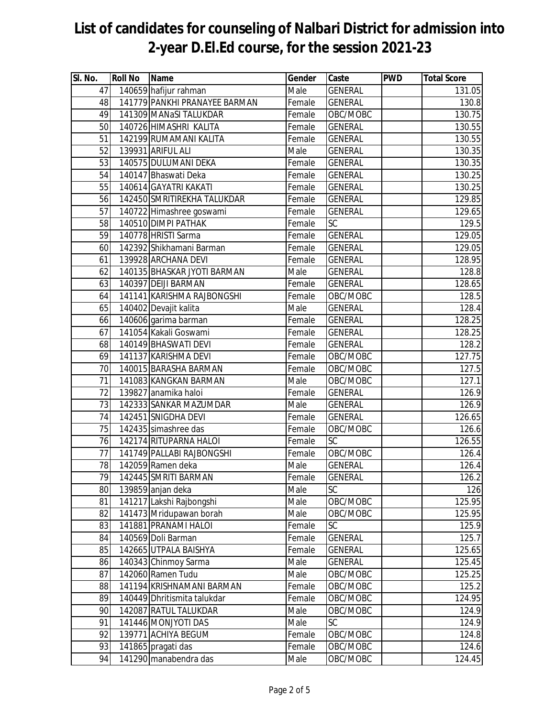| SI. No.         | <b>Roll No</b> | <b>Name</b>                                     | Gender       | Caste          | <b>PWD</b> | <b>Total Score</b> |
|-----------------|----------------|-------------------------------------------------|--------------|----------------|------------|--------------------|
| 47              |                | 140659 hafijur rahman                           | Male         | <b>GENERAL</b> |            | 131.05             |
| 48              |                | 141779 PANKHI PRANAYEE BARMAN                   | Female       | <b>GENERAL</b> |            | 130.8              |
| 49              |                | 141309 MANaSI TALUKDAR                          | Female       | OBC/MOBC       |            | 130.75             |
| 50              |                | 140726 HIMASHRI KALITA                          | Female       | <b>GENERAL</b> |            | 130.55             |
| 51              |                | 142199 RUMAMANI KALITA                          | Female       | <b>GENERAL</b> |            | 130.55             |
| 52              |                | 139931 ARIFUL ALI                               | Male         | <b>GENERAL</b> |            | 130.35             |
| 53              |                | 140575 DULUMANI DEKA                            | Female       | <b>GENERAL</b> |            | 130.35             |
| 54              |                | 140147 Bhaswati Deka                            | Female       | <b>GENERAL</b> |            | 130.25             |
| 55              |                | 140614 GAYATRI KAKATI                           | Female       | <b>GENERAL</b> |            | 130.25             |
| 56              |                | 142450 SMRITIREKHA TALUKDAR                     | Female       | <b>GENERAL</b> |            | 129.85             |
| 57              |                | 140722 Himashree goswami                        | Female       | <b>GENERAL</b> |            | 129.65             |
| 58              |                | 140510 DIMPI PATHAK                             | Female       | <b>SC</b>      |            | 129.5              |
| 59              |                | 140778 HRISTI Sarma                             | Female       | <b>GENERAL</b> |            | 129.05             |
| 60              |                | 142392 Shikhamani Barman                        | Female       | <b>GENERAL</b> |            | 129.05             |
| 61              |                | 139928 ARCHANA DEVI                             | Female       | <b>GENERAL</b> |            | 128.95             |
| 62              |                | 140135 BHASKAR JYOTI BARMAN                     | Male         | <b>GENERAL</b> |            | 128.8              |
| 63              |                | 140397 DEIJI BARMAN                             | Female       | <b>GENERAL</b> |            | 128.65             |
| 64              |                | 141141 KARISHMA RAJBONGSHI                      | Female       | OBC/MOBC       |            | 128.5              |
| 65              |                | 140402 Devajit kalita                           | Male         | <b>GENERAL</b> |            | 128.4              |
| 66              |                | 140606 garima barman                            | Female       | <b>GENERAL</b> |            | 128.25             |
| 67              |                | 141054 Kakali Goswami                           | Female       | <b>GENERAL</b> |            | 128.25             |
| 68              |                | 140149 BHASWATI DEVI                            | Female       | <b>GENERAL</b> |            | 128.2              |
| 69              |                | 141137 KARISHMA DEVI                            | Female       | OBC/MOBC       |            | 127.75             |
| 70              |                | 140015 BARASHA BARMAN                           | Female       | OBC/MOBC       |            | 127.5              |
| 71              |                | 141083 KANGKAN BARMAN                           | Male         | OBC/MOBC       |            | 127.1              |
| 72              |                | 139827 anamika haloi                            | Female       | <b>GENERAL</b> |            | 126.9              |
| 73              |                | 142333 SANKAR MAZUMDAR                          | Male         | <b>GENERAL</b> |            | 126.9              |
| 74              |                | 142451 SNIGDHA DEVI                             | Female       | <b>GENERAL</b> |            | 126.65             |
| 75              |                | 142435 simashree das                            | Female       | OBC/MOBC       |            | 126.6              |
| 76              |                | 142174 RITUPARNA HALOI                          | Female       | SC             |            | 126.55             |
| $\overline{77}$ |                | 141749 PALLABI RAJBONGSHI                       | Female       | OBC/MOBC       |            | 126.4              |
| 78              |                | 142059 Ramen deka                               | Male         | <b>GENERAL</b> |            | 126.4              |
| 79              |                | 142445 SMRITI BARMAN                            | Female       | <b>GENERAL</b> |            | 126.2              |
| 80              |                | 139859 anjan deka                               | Male         | SC<br>OBC/MOBC |            | 126<br>125.95      |
| 81<br>82        |                | 141217 Lakshi Rajbongshi                        | Male<br>Male | OBC/MOBC       |            | 125.95             |
| 83              |                | 141473 Mridupawan borah<br>141881 PRANAMI HALOI | Female       | SC             |            | 125.9              |
| 84              |                | 140569 Doli Barman                              | Female       | <b>GENERAL</b> |            | 125.7              |
| 85              |                | 142665 UTPALA BAISHYA                           | Female       | <b>GENERAL</b> |            | 125.65             |
| 86              |                | 140343 Chinmoy Sarma                            | Male         | <b>GENERAL</b> |            | 125.45             |
| 87              |                | 142060 Ramen Tudu                               | Male         | OBC/MOBC       |            | 125.25             |
| 88              |                | 141194 KRISHNAMANI BARMAN                       | Female       | OBC/MOBC       |            | 125.2              |
| 89              |                | 140449 Dhritismita talukdar                     | Female       | OBC/MOBC       |            | 124.95             |
| 90              |                | 142087 RATUL TALUKDAR                           | Male         | OBC/MOBC       |            | 124.9              |
| 91              |                | 141446 MONJYOTI DAS                             | Male         | <b>SC</b>      |            | 124.9              |
| 92              |                | 139771 ACHIYA BEGUM                             | Female       | OBC/MOBC       |            | 124.8              |
| 93              |                | 141865 pragati das                              | Female       | OBC/MOBC       |            | 124.6              |
| 94              |                | 141290 manabendra das                           | Male         | OBC/MOBC       |            | 124.45             |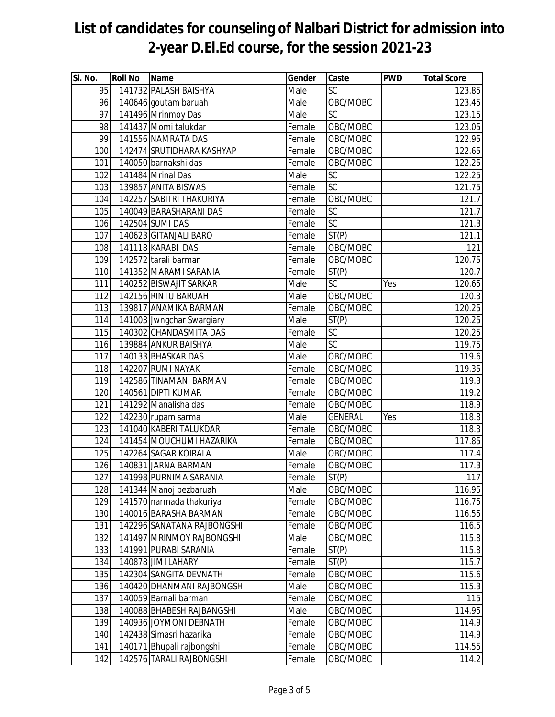| $\overline{\mathsf{SI}}$ . No. | <b>Roll No</b> | <b>Name</b>                | Gender | Caste                  | <b>PWD</b> | <b>Total Score</b> |
|--------------------------------|----------------|----------------------------|--------|------------------------|------------|--------------------|
| 95                             |                | 141732 PALASH BAISHYA      | Male   | <b>SC</b>              |            | 123.85             |
| 96                             |                | 140646 goutam baruah       | Male   | OBC/MOBC               |            | 123.45             |
| 97                             |                | 141496 Mrinmoy Das         | Male   | $\overline{\text{SC}}$ |            | 123.15             |
| 98                             |                | 141437 Momi talukdar       | Female | OBC/MOBC               |            | 123.05             |
| 99                             |                | 141556 NAMRATA DAS         | Female | OBC/MOBC               |            | 122.95             |
| 100                            |                | 142474 SRUTIDHARA KASHYAP  | Female | OBC/MOBC               |            | 122.65             |
| 101                            |                | 140050 barnakshi das       | Female | OBC/MOBC               |            | 122.25             |
| 102                            |                | 141484 Mrinal Das          | Male   | SC                     |            | 122.25             |
| 103                            |                | 139857 ANITA BISWAS        | Female | SC                     |            | 121.75             |
| 104                            |                | 142257 SABITRI THAKURIYA   | Female | OBC/MOBC               |            | 121.7              |
| 105                            |                | 140049 BARASHARANI DAS     | Female | $\overline{SC}$        |            | 121.7              |
| 106                            |                | 142504 SUMI DAS            | Female | SC                     |            | 121.3              |
| 107                            |                | 140623 GITANJALI BARO      | Female | ST(P)                  |            | 121.1              |
| 108                            |                | 141118 KARABI DAS          | Female | OBC/MOBC               |            | 121                |
| 109                            |                | 142572 tarali barman       | Female | OBC/MOBC               |            | 120.75             |
| 110                            |                | 141352 MARAMI SARANIA      | Female | ST(P)                  |            | 120.7              |
| 111                            |                | 140252 BISWAJIT SARKAR     | Male   | SC                     | <b>Yes</b> | 120.65             |
| 112                            |                | 142156 RINTU BARUAH        | Male   | OBC/MOBC               |            | 120.3              |
| 113                            |                | 139817 ANAMIKA BARMAN      | Female | OBC/MOBC               |            | 120.25             |
| 114                            |                | 141003 Jwngchar Swargiary  | Male   | ST(P)                  |            | 120.25             |
| 115                            |                | 140302 CHANDASMITA DAS     | Female | <b>SC</b>              |            | 120.25             |
| 116                            |                | 139884 ANKUR BAISHYA       | Male   | $\overline{\text{SC}}$ |            | 119.75             |
| 117                            |                | 140133 BHASKAR DAS         | Male   | OBC/MOBC               |            | 119.6              |
| 118                            |                | 142207 RUMI NAYAK          | Female | OBC/MOBC               |            | 119.35             |
| 119                            |                | 142586 TINAMANI BARMAN     | Female | OBC/MOBC               |            | 119.3              |
| 120                            |                | 140561 DIPTI KUMAR         | Female | OBC/MOBC               |            | 119.2              |
| 121                            |                | 141292 Manalisha das       | Female | OBC/MOBC               |            | 118.9              |
| 122                            |                | 142230 rupam sarma         | Male   | <b>GENERAL</b>         | Yes        | 118.8              |
| 123                            |                | 141040 KABERI TALUKDAR     | Female | OBC/MOBC               |            | 118.3              |
| 124                            |                | 141454 MOUCHUMI HAZARIKA   | Female | OBC/MOBC               |            | 117.85             |
| 125                            |                | 142264 SAGAR KOIRALA       | Male   | OBC/MOBC               |            | 117.4              |
| 126                            |                | 140831 JARNA BARMAN        | Female | OBC/MOBC               |            | 117.3              |
| 127                            |                | 141998 PURNIMA SARANIA     | Female | ST(P)                  |            | 117                |
| 128                            |                | 141344 Manoj bezbaruah     | Male   | OBC/MOBC               |            | 116.95             |
| 129                            |                | 141570 narmada thakuriya   | Female | OBC/MOBC               |            | 116.75             |
| 130                            |                | 140016 BARASHA BARMAN      | Female | OBC/MOBC               |            | 116.55             |
| 131                            |                | 142296 SANATANA RAJBONGSHI | Female | OBC/MOBC               |            | 116.5              |
| 132                            |                | 141497 MRINMOY RAJBONGSHI  | Male   | OBC/MOBC               |            | 115.8              |
| 133                            |                | 141991 PURABI SARANIA      | Female | ST(P)                  |            | 115.8              |
| 134                            |                | 140878 JIMI LAHARY         | Female | ST(P)                  |            | 115.7              |
| 135                            |                | 142304 SANGITA DEVNATH     | Female | OBC/MOBC               |            | 115.6              |
| 136                            |                | 140420 DHANMANI RAJBONGSHI | Male   | OBC/MOBC               |            | 115.3              |
| 137                            |                | 140059 Barnali barman      | Female | OBC/MOBC               |            | 115                |
| 138                            |                | 140088 BHABESH RAJBANGSHI  | Male   | OBC/MOBC               |            | 114.95             |
| 139                            |                | 140936 JOYMONI DEBNATH     | Female | OBC/MOBC               |            | 114.9              |
| 140                            |                | 142438 Simasri hazarika    | Female | OBC/MOBC               |            | 114.9              |
| 141                            |                | 140171 Bhupali rajbongshi  | Female | OBC/MOBC               |            | 114.55             |
| 142                            |                | 142576 TARALI RAJBONGSHI   | Female | OBC/MOBC               |            | 114.2              |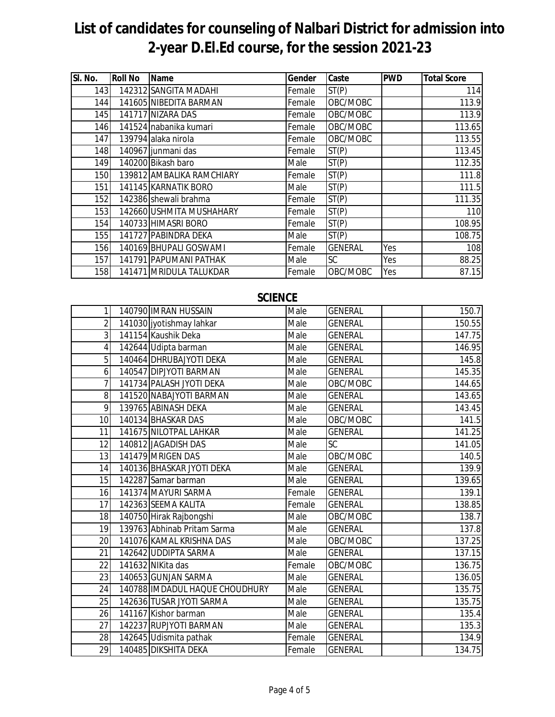| SI. No. | <b>Roll No</b> | <b>Name</b>               | Gender | Caste          | <b>PWD</b> | <b>Total Score</b> |
|---------|----------------|---------------------------|--------|----------------|------------|--------------------|
| 143     |                | 142312 SANGITA MADAHI     | Female | ST(P)          |            | 114                |
| 144     |                | 141605 NIBEDITA BARMAN    | Female | OBC/MOBC       |            | 113.9              |
| 145     |                | 141717 NIZARA DAS         | Female | OBC/MOBC       |            | 113.9              |
| 146     |                | 141524 nabanika kumari    | Female | OBC/MOBC       |            | 113.65             |
| 147     |                | 139794 alaka nirola       | Female | OBC/MOBC       |            | 113.55             |
| 148     |                | 140967 junmani das        | Female | ST(P)          |            | 113.45             |
| 149     |                | 140200 Bikash baro        | Male   | ST(P)          |            | 112.35             |
| 150     |                | 139812 AMBALIKA RAMCHIARY | Female | ST(P)          |            | 111.8              |
| 151     |                | 141145 KARNATIK BORO      | Male   | ST(P)          |            | 111.5              |
| 152     |                | 142386 shewali brahma     | Female | ST(P)          |            | 111.35             |
| 153     |                | 142660 USHMITA MUSHAHARY  | Female | ST(P)          |            | 110                |
| 154     |                | 140733 HIMASRI BORO       | Female | ST(P)          |            | 108.95             |
| 155     |                | 141727 PABINDRA DEKA      | Male   | ST(P)          |            | 108.75             |
| 156     |                | 140169 BHUPALI GOSWAMI    | Female | <b>GENERAL</b> | Yes        | 108                |
| 157     |                | 141791 PAPUMANI PATHAK    | Male   | SC.            | Yes        | 88.25              |
| 158     |                | 141471 MRIDULA TALUKDAR   | Female | OBC/MOBC       | Yes        | 87.15              |

### **SCIENCE**

| 1               | 140790 IMRAN HUSSAIN           | Male   | <b>GENERAL</b> | 150.7  |
|-----------------|--------------------------------|--------|----------------|--------|
| $\overline{2}$  | 141030 jyotishmay lahkar       | Male   | <b>GENERAL</b> | 150.55 |
| $\overline{3}$  | 141154 Kaushik Deka            | Male   | <b>GENERAL</b> | 147.75 |
| 4               | 142644 Udipta barman           | Male   | <b>GENERAL</b> | 146.95 |
| 5               | 140464 DHRUBAJYOTI DEKA        | Male   | <b>GENERAL</b> | 145.8  |
| 6               | 140547 DIPJYOTI BARMAN         | Male   | <b>GENERAL</b> | 145.35 |
| 7               | 141734 PALASH JYOTI DEKA       | Male   | OBC/MOBC       | 144.65 |
| 8               | 141520 NABAJYOTI BARMAN        | Male   | <b>GENERAL</b> | 143.65 |
| 9               | 139765 ABINASH DEKA            | Male   | <b>GENERAL</b> | 143.45 |
| 10 <sup>1</sup> | 140134 BHASKAR DAS             | Male   | OBC/MOBC       | 141.5  |
| 11              | 141675 NILOTPAL LAHKAR         | Male   | <b>GENERAL</b> | 141.25 |
| 12              | 140812 JAGADISH DAS            | Male   | SC             | 141.05 |
| 13              | 141479 MRIGEN DAS              | Male   | OBC/MOBC       | 140.5  |
| 14              | 140136 BHASKAR JYOTI DEKA      | Male   | <b>GENERAL</b> | 139.9  |
| 15              | 142287 Samar barman            | Male   | <b>GENERAL</b> | 139.65 |
| 16              | 141374 MAYURI SARMA            | Female | <b>GENERAL</b> | 139.1  |
| 17              | 142363 SEEMA KALITA            | Female | <b>GENERAL</b> | 138.85 |
| 18              | 140750 Hirak Rajbongshi        | Male   | OBC/MOBC       | 138.7  |
| 19              | 139763 Abhinab Pritam Sarma    | Male   | <b>GENERAL</b> | 137.8  |
| 20              | 141076 KAMAL KRISHNA DAS       | Male   | OBC/MOBC       | 137.25 |
| 21              | 142642 UDDIPTA SARMA           | Male   | <b>GENERAL</b> | 137.15 |
| 22              | 141632 NIKita das              | Female | OBC/MOBC       | 136.75 |
| 23              | 140653 GUNJAN SARMA            | Male   | <b>GENERAL</b> | 136.05 |
| 24              | 140788 IMDADUL HAQUE CHOUDHURY | Male   | <b>GENERAL</b> | 135.75 |
| 25              | 142636 TUSAR JYOTI SARMA       | Male   | <b>GENERAL</b> | 135.75 |
| 26              | 141167 Kishor barman           | Male   | <b>GENERAL</b> | 135.4  |
| 27              | 142237 RUPJYOTI BARMAN         | Male   | <b>GENERAL</b> | 135.3  |
| 28              | 142645 Udismita pathak         | Female | <b>GENERAL</b> | 134.9  |
| 29              | 140485 DIKSHITA DEKA           | Female | <b>GENERAL</b> | 134.75 |